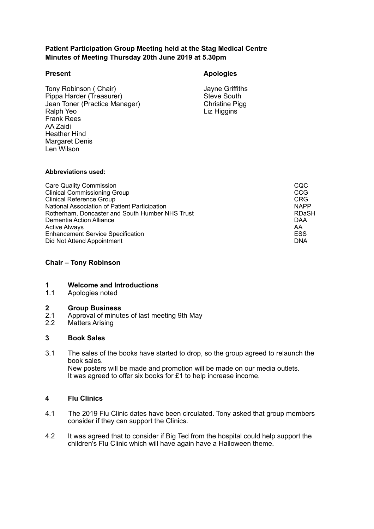# **Patient Participation Group Meeting held at the Stag Medical Centre Minutes of Meeting Thursday 20th June 2019 at 5.30pm**

Ralph Yeo Frank Rees<br>AA Zaidi AA Zaidi Len Wilson Tony Robinson ( Chair)<br>
Pippa Harder (Treasurer)<br>
Steve South Pippa Harder (Treasurer)<br>
Jean Toner (Practice Manager) Steve South<br>
Christine Pigg Jean Toner (Practice Manager) Heather Hind Margaret Denis

# **Present Apologies**

Liz Higgins

#### **Abbreviations used:**

| <b>Care Quality Commission</b><br><b>Clinical Commissioning Group</b> | CQC<br>CCG   |
|-----------------------------------------------------------------------|--------------|
| <b>Clinical Reference Group</b>                                       | <b>CRG</b>   |
| National Association of Patient Participation                         | <b>NAPP</b>  |
| Rotherham, Doncaster and South Humber NHS Trust                       | <b>RDaSH</b> |
| Dementia Action Alliance                                              | <b>DAA</b>   |
| <b>Active Always</b>                                                  | AA           |
| <b>Enhancement Service Specification</b>                              | <b>ESS</b>   |
| Did Not Attend Appointment                                            | <b>DNA</b>   |

## **Chair – Tony Robinson**

## **1 Welcome and Introductions**

1.1 Apologies noted

## **2 Group Business**

- $2.1$ Approval of minutes of last meeting 9th May
- 2.2 Matters Arising

## **3 Book Sales**

 3.1 The sales of the books have started to drop, so the group agreed to relaunch the book sales. New posters will be made and promotion will be made on our media outlets. It was agreed to offer six books for £1 to help increase income.

# **4 Flu Clinics**

- consider if they can support the Clinics. The 2019 Flu Clinic dates have been circulated. Tony asked that group members
- $4.2$  children's Flu Clinic which will have again have a Halloween theme. It was agreed that to consider if Big Ted from the hospital could help support the